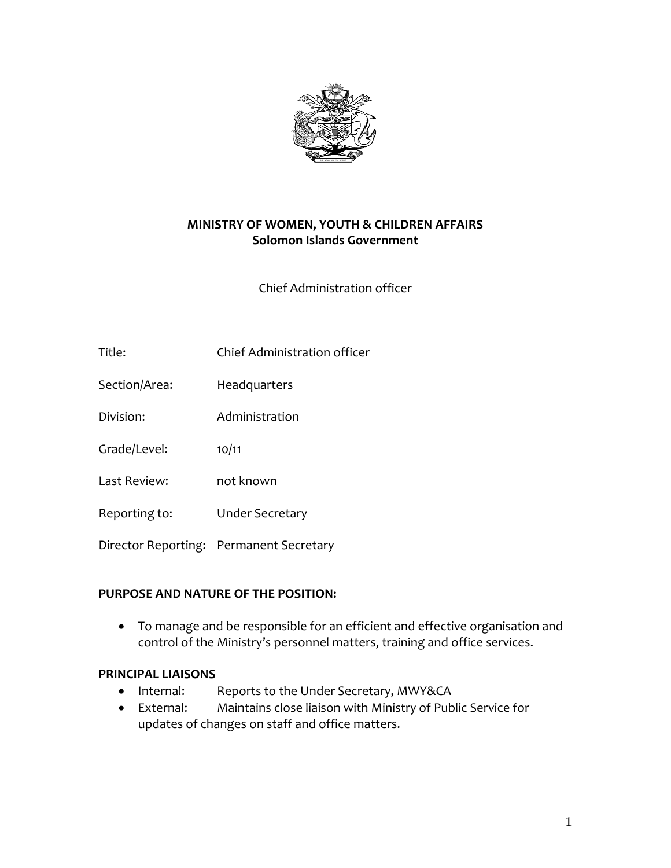

# **MINISTRY OF WOMEN, YOUTH & CHILDREN AFFAIRS Solomon Islands Government**

Chief Administration officer

- Title: Chief Administration officer
- Section/Area: Headquarters
- Division: Administration
- Grade/Level: 10/11
- Last Review: not known
- Reporting to: Under Secretary
- Director Reporting: Permanent Secretary

#### **PURPOSE AND NATURE OF THE POSITION:**

 To manage and be responsible for an efficient and effective organisation and control of the Ministry's personnel matters, training and office services.

#### **PRINCIPAL LIAISONS**

- Internal: Reports to the Under Secretary, MWY&CA
- External: Maintains close liaison with Ministry of Public Service for updates of changes on staff and office matters.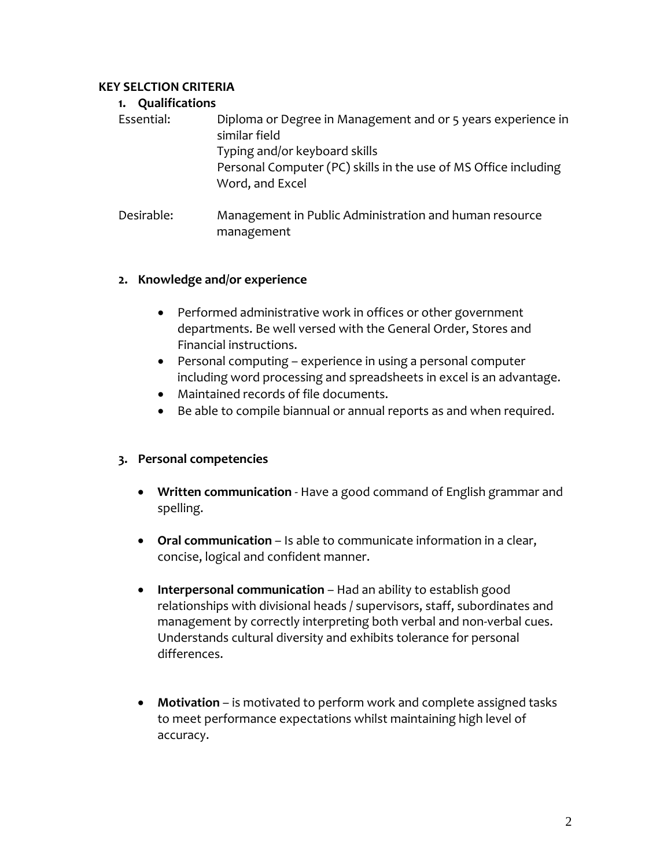# **KEY SELCTION CRITERIA**

#### **1. Qualifications**

| Essential: | Diploma or Degree in Management and or 5 years experience in<br>similar field<br>Typing and/or keyboard skills<br>Personal Computer (PC) skills in the use of MS Office including<br>Word, and Excel |  |
|------------|------------------------------------------------------------------------------------------------------------------------------------------------------------------------------------------------------|--|
| Desirable: | Management in Public Administration and human resource<br>management                                                                                                                                 |  |

# **2. Knowledge and/or experience**

- Performed administrative work in offices or other government departments. Be well versed with the General Order, Stores and Financial instructions.
- Personal computing experience in using a personal computer including word processing and spreadsheets in excel is an advantage.
- Maintained records of file documents.
- Be able to compile biannual or annual reports as and when required.

# **3. Personal competencies**

- **Written communication** ‐ Have a good command of English grammar and spelling.
- **Oral communication** Is able to communicate information in a clear, concise, logical and confident manner.
- **Interpersonal communication** Had an ability to establish good relationships with divisional heads / supervisors, staff, subordinates and management by correctly interpreting both verbal and non-verbal cues. Understands cultural diversity and exhibits tolerance for personal differences.
- **Motivation** is motivated to perform work and complete assigned tasks to meet performance expectations whilst maintaining high level of accuracy.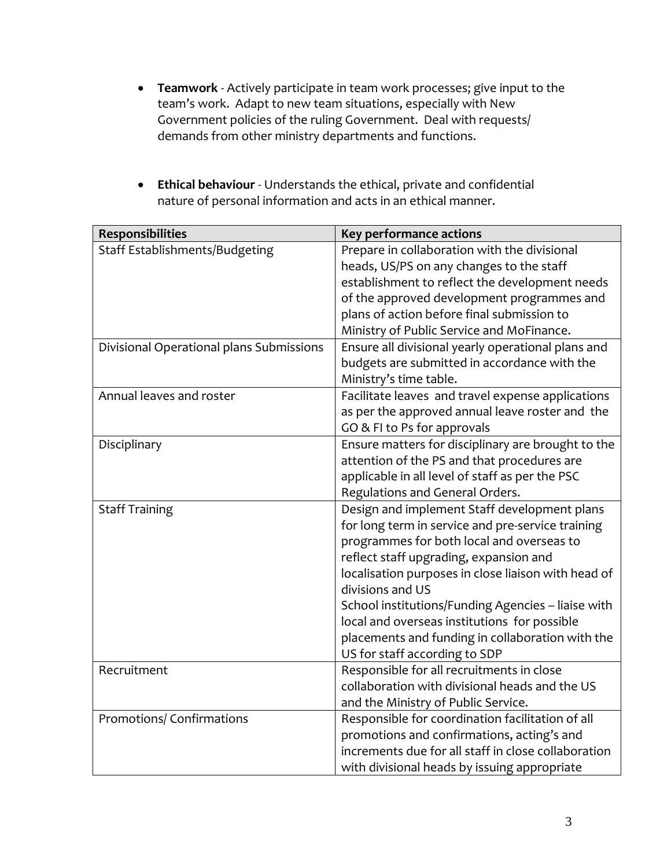- **Teamwork** ‐ Actively participate in team work processes; give input to the team's work. Adapt to new team situations, especially with New Government policies of the ruling Government. Deal with requests/ demands from other ministry departments and functions.
- **Ethical behaviour** ‐ Understands the ethical, private and confidential nature of personal information and acts in an ethical manner.

| Responsibilities                         | Key performance actions                             |
|------------------------------------------|-----------------------------------------------------|
| Staff Establishments/Budgeting           | Prepare in collaboration with the divisional        |
|                                          | heads, US/PS on any changes to the staff            |
|                                          | establishment to reflect the development needs      |
|                                          | of the approved development programmes and          |
|                                          | plans of action before final submission to          |
|                                          | Ministry of Public Service and MoFinance.           |
| Divisional Operational plans Submissions | Ensure all divisional yearly operational plans and  |
|                                          | budgets are submitted in accordance with the        |
|                                          | Ministry's time table.                              |
| Annual leaves and roster                 | Facilitate leaves and travel expense applications   |
|                                          | as per the approved annual leave roster and the     |
|                                          | GO & FI to Ps for approvals                         |
| Disciplinary                             | Ensure matters for disciplinary are brought to the  |
|                                          | attention of the PS and that procedures are         |
|                                          | applicable in all level of staff as per the PSC     |
|                                          | Regulations and General Orders.                     |
| <b>Staff Training</b>                    | Design and implement Staff development plans        |
|                                          | for long term in service and pre-service training   |
|                                          | programmes for both local and overseas to           |
|                                          | reflect staff upgrading, expansion and              |
|                                          | localisation purposes in close liaison with head of |
|                                          | divisions and US                                    |
|                                          | School institutions/Funding Agencies - liaise with  |
|                                          | local and overseas institutions for possible        |
|                                          | placements and funding in collaboration with the    |
|                                          | US for staff according to SDP                       |
| Recruitment                              | Responsible for all recruitments in close           |
|                                          | collaboration with divisional heads and the US      |
|                                          | and the Ministry of Public Service.                 |
| Promotions/ Confirmations                | Responsible for coordination facilitation of all    |
|                                          | promotions and confirmations, acting's and          |
|                                          | increments due for all staff in close collaboration |
|                                          | with divisional heads by issuing appropriate        |